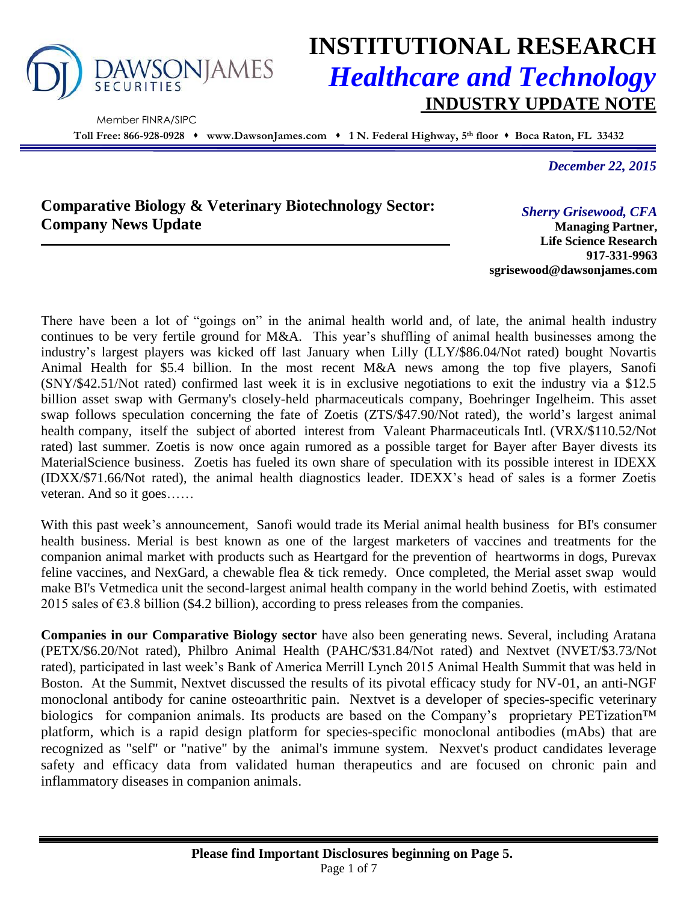

Member FINRA/SIPC

# **INSTITUTIONAL RESEARCH** *Healthcare and Technology* **INDUSTRY UPDATE NOTE**

**Toll Free: 866-928-0928 www.DawsonJames.com 1 N. Federal Highway, 5 th floor Boca Raton, FL 33432**

*December 22, 2015*

# **Comparative Biology & Veterinary Biotechnology Sector: Company News Update**

*Sherry Grisewood, CFA*

**Managing Partner, Life Science Research 917-331-9963 sgrisewood@dawsonjames.com**

There have been a lot of "goings on" in the animal health world and, of late, the animal health industry continues to be very fertile ground for M&A. This year's shuffling of animal health businesses among the industry's largest players was kicked off last January when Lilly (LLY/\$86.04/Not rated) bought Novartis Animal Health for \$5.4 billion. In the most recent M&A news among the top five players, Sanofi (SNY/\$42.51/Not rated) confirmed last week it is in exclusive negotiations to exit the industry via a \$12.5 billion asset swap with Germany's closely-held pharmaceuticals company, Boehringer Ingelheim. This asset swap follows speculation concerning the fate of Zoetis (ZTS/\$47.90/Not rated), the world's largest animal health company, itself the subject of aborted interest from Valeant Pharmaceuticals Intl. (VRX/\$110.52/Not rated) last summer. Zoetis is now once again rumored as a possible target for Bayer after Bayer divests its MaterialScience business. Zoetis has fueled its own share of speculation with its possible interest in IDEXX (IDXX/\$71.66/Not rated), the animal health diagnostics leader. IDEXX's head of sales is a former Zoetis veteran. And so it goes……

With this past week's announcement, Sanofi would trade its Merial animal health business for BI's consumer health business. Merial is best known as one of the largest marketers of vaccines and treatments for the companion animal market with products such as Heartgard for the prevention of heartworms in dogs, Purevax feline vaccines, and NexGard, a chewable flea & tick remedy. Once completed, the Merial asset swap would make BI's Vetmedica unit the second-largest animal health company in the world behind Zoetis, with estimated 2015 sales of  $63.8$  billion (\$4.2 billion), according to press releases from the companies.

**Companies in our Comparative Biology sector** have also been generating news. Several, including Aratana (PETX/\$6.20/Not rated), Philbro Animal Health (PAHC/\$31.84/Not rated) and Nextvet (NVET/\$3.73/Not rated), participated in last week's Bank of America Merrill Lynch 2015 Animal Health Summit that was held in Boston. At the Summit, Nextvet discussed the results of its pivotal efficacy study for NV-01, an anti-NGF monoclonal antibody for canine osteoarthritic pain. Nextvet is a developer of species-specific veterinary biologics for companion animals. Its products are based on the Company's proprietary PETization™ platform, which is a rapid design platform for species-specific monoclonal antibodies (mAbs) that are recognized as "self" or "native" by the animal's immune system. Nexvet's product candidates leverage safety and efficacy data from validated human therapeutics and are focused on chronic pain and inflammatory diseases in companion animals.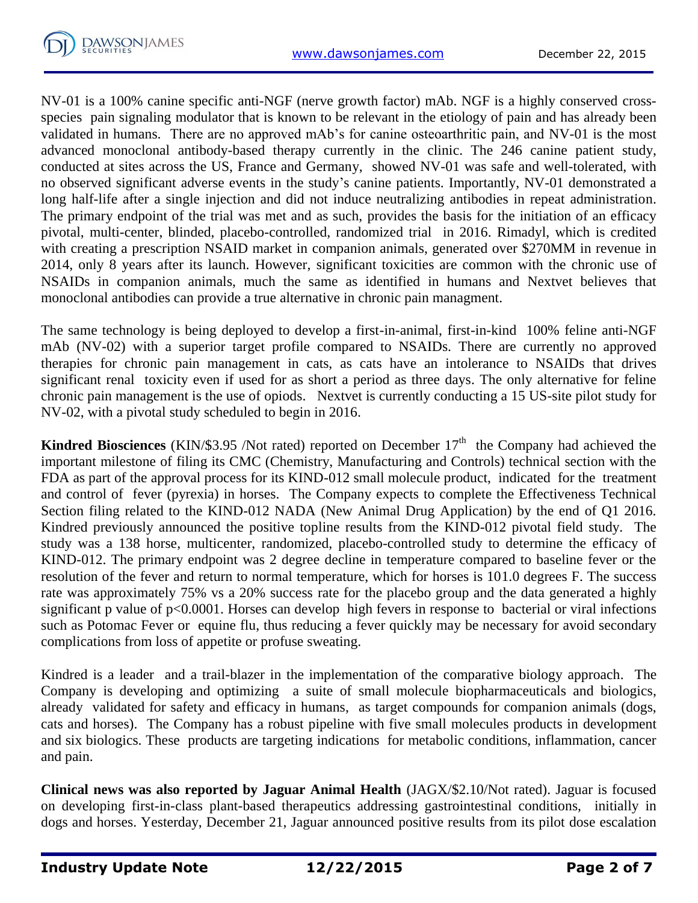

NV-01 is a 100% canine specific anti-NGF (nerve growth factor) mAb. NGF is a highly conserved crossspecies pain signaling modulator that is known to be relevant in the etiology of pain and has already been validated in humans. There are no approved mAb's for canine osteoarthritic pain, and NV-01 is the most advanced monoclonal antibody-based therapy currently in the clinic. The 246 canine patient study, conducted at sites across the US, France and Germany, showed NV-01 was safe and well-tolerated, with no observed significant adverse events in the study's canine patients. Importantly, NV-01 demonstrated a long half-life after a single injection and did not induce neutralizing antibodies in repeat administration. The primary endpoint of the trial was met and as such, provides the basis for the initiation of an efficacy pivotal, multi-center, blinded, placebo-controlled, randomized trial in 2016. Rimadyl, which is credited with creating a prescription NSAID market in companion animals, generated over \$270MM in revenue in 2014, only 8 years after its launch. However, significant toxicities are common with the chronic use of NSAIDs in companion animals, much the same as identified in humans and Nextvet believes that monoclonal antibodies can provide a true alternative in chronic pain managment.

The same technology is being deployed to develop a first-in-animal, first-in-kind 100% feline anti-NGF mAb (NV-02) with a superior target profile compared to NSAIDs. There are currently no approved therapies for chronic pain management in cats, as cats have an intolerance to NSAIDs that drives significant renal toxicity even if used for as short a period as three days. The only alternative for feline chronic pain management is the use of opiods. Nextvet is currently conducting a 15 US-site pilot study for NV-02, with a pivotal study scheduled to begin in 2016.

**Kindred Biosciences** (KIN/\$3.95 /Not rated) reported on December  $17<sup>th</sup>$  the Company had achieved the important milestone of filing its CMC (Chemistry, Manufacturing and Controls) technical section with the FDA as part of the approval process for its KIND-012 small molecule product, indicated for the treatment and control of fever (pyrexia) in horses. The Company expects to complete the Effectiveness Technical Section filing related to the KIND-012 NADA (New Animal Drug Application) by the end of Q1 2016. Kindred previously announced the positive topline results from the KIND-012 pivotal field study. The study was a 138 horse, multicenter, randomized, placebo-controlled study to determine the efficacy of KIND-012. The primary endpoint was 2 degree decline in temperature compared to baseline fever or the resolution of the fever and return to normal temperature, which for horses is 101.0 degrees F. The success rate was approximately 75% vs a 20% success rate for the placebo group and the data generated a highly significant p value of p<0.0001. Horses can develop high fevers in response to bacterial or viral infections such as Potomac Fever or equine flu, thus reducing a fever quickly may be necessary for avoid secondary complications from loss of appetite or profuse sweating.

Kindred is a leader and a trail-blazer in the implementation of the comparative biology approach. The Company is developing and optimizing a suite of small molecule biopharmaceuticals and biologics, already validated for safety and efficacy in humans, as target compounds for companion animals (dogs, cats and horses). The Company has a robust pipeline with five small molecules products in development and six biologics. These products are targeting indications for metabolic conditions, inflammation, cancer and pain.

**Clinical news was also reported by Jaguar Animal Health** (JAGX/\$2.10/Not rated). Jaguar is focused on developing first-in-class plant-based therapeutics addressing gastrointestinal conditions, initially in dogs and horses. Yesterday, December 21, Jaguar announced positive results from its pilot dose escalation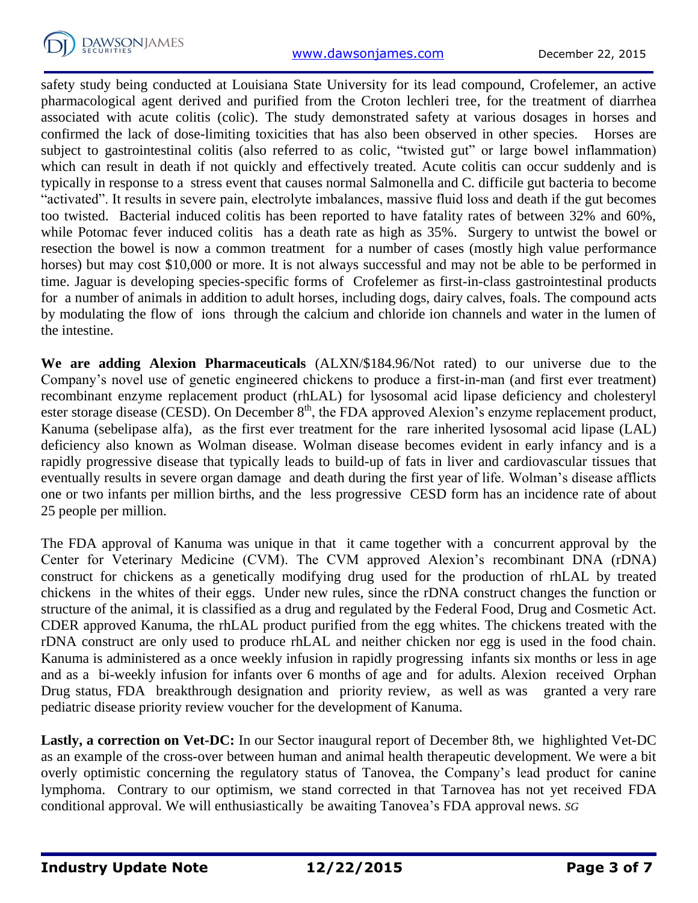

safety study being conducted at Louisiana State University for its lead compound, Crofelemer, an active pharmacological agent derived and purified from the Croton lechleri tree, for the treatment of diarrhea associated with acute colitis (colic). The study demonstrated safety at various dosages in horses and confirmed the lack of dose-limiting toxicities that has also been observed in other species. Horses are subject to gastrointestinal colitis (also referred to as colic, "twisted gut" or large bowel inflammation) which can result in death if not quickly and effectively treated. Acute colitis can occur suddenly and is typically in response to a stress event that causes normal Salmonella and C. difficile gut bacteria to become "activated". It results in severe pain, electrolyte imbalances, massive fluid loss and death if the gut becomes too twisted. Bacterial induced colitis has been reported to have fatality rates of between 32% and 60%, while Potomac fever induced colitis has a death rate as high as  $35\%$ . Surgery to untwist the bowel or resection the bowel is now a common treatment for a number of cases (mostly high value performance horses) but may cost \$10,000 or more. It is not always successful and may not be able to be performed in time. Jaguar is developing species-specific forms of Crofelemer as first-in-class gastrointestinal products for a number of animals in addition to adult horses, including dogs, dairy calves, foals. The compound acts by modulating the flow of ions through the calcium and chloride ion channels and water in the lumen of the intestine.

**We are adding Alexion Pharmaceuticals** (ALXN/\$184.96/Not rated) to our universe due to the Company's novel use of genetic engineered chickens to produce a first-in-man (and first ever treatment) recombinant enzyme replacement product (rhLAL) for lysosomal acid lipase deficiency and cholesteryl ester storage disease (CESD). On December  $8<sup>th</sup>$ , the FDA approved Alexion's enzyme replacement product, Kanuma (sebelipase alfa), as the first ever treatment for the rare inherited lysosomal acid lipase (LAL) deficiency also known as Wolman disease. Wolman disease becomes evident in early infancy and is a rapidly progressive disease that typically leads to build-up of fats in liver and cardiovascular tissues that eventually results in severe organ damage and death during the first year of life. Wolman's disease afflicts one or two infants per million births, and the less progressive CESD form has an incidence rate of about 25 people per million.

The FDA approval of Kanuma was unique in that it came together with a concurrent approval by the Center for Veterinary Medicine (CVM). The CVM approved Alexion's recombinant DNA (rDNA) construct for chickens as a genetically modifying drug used for the production of rhLAL by treated chickens in the whites of their eggs. Under new rules, since the rDNA construct changes the function or structure of the animal, it is classified as a drug and regulated by the Federal Food, Drug and Cosmetic Act. CDER approved Kanuma, the rhLAL product purified from the egg whites. The chickens treated with the rDNA construct are only used to produce rhLAL and neither chicken nor egg is used in the food chain. Kanuma is administered as a once weekly infusion in rapidly progressing infants six months or less in age and as a bi-weekly infusion for infants over 6 months of age and for adults. Alexion received Orphan Drug status, FDA breakthrough designation and priority review, as well as was granted a very rare pediatric disease priority review voucher for the development of Kanuma.

**Lastly, a correction on Vet-DC:** In our Sector inaugural report of December 8th, we highlighted Vet-DC as an example of the cross-over between human and animal health therapeutic development. We were a bit overly optimistic concerning the regulatory status of Tanovea, the Company's lead product for canine lymphoma. Contrary to our optimism, we stand corrected in that Tarnovea has not yet received FDA conditional approval. We will enthusiastically be awaiting Tanovea's FDA approval news. *SG*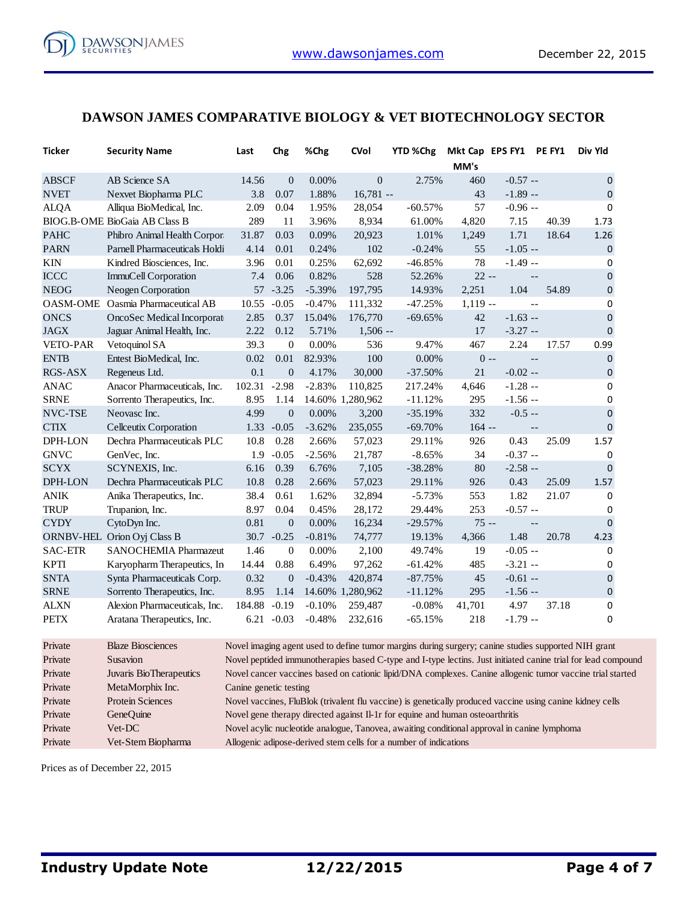

#### **DAWSON JAMES COMPARATIVE BIOLOGY & VET BIOTECHNOLOGY SECTOR**

| Ticker         | <b>Security Name</b>                 | Last                                                                                                      | Chg              | %Chg     | CVol             | YTD %Chg                                                                                                  |           | Mkt Cap EPS FY1 PE FY1 |                            | Div Yld                                                                                                       |
|----------------|--------------------------------------|-----------------------------------------------------------------------------------------------------------|------------------|----------|------------------|-----------------------------------------------------------------------------------------------------------|-----------|------------------------|----------------------------|---------------------------------------------------------------------------------------------------------------|
|                |                                      |                                                                                                           |                  |          |                  |                                                                                                           | MM's      |                        |                            |                                                                                                               |
| <b>ABSCF</b>   | AB Science SA                        | 14.56                                                                                                     | $\boldsymbol{0}$ | 0.00%    | $\overline{0}$   | 2.75%                                                                                                     | 460       | $-0.57 -$              |                            | $\pmb{0}$                                                                                                     |
| <b>NVET</b>    | Nexvet Biopharma PLC                 | 3.8                                                                                                       | 0.07             | 1.88%    | $16,781 -$       |                                                                                                           | 43        | $-1.89 -$              |                            | $\mathbf{0}$                                                                                                  |
| <b>ALQA</b>    | Alliqua BioMedical, Inc.             | 2.09                                                                                                      | 0.04             | 1.95%    | 28,054           | $-60.57%$                                                                                                 | 57        | $-0.96 -$              |                            | 0                                                                                                             |
|                | <b>BIOG.B-OME BioGaia AB Class B</b> | 289                                                                                                       | 11               | 3.96%    | 8,934            | 61.00%                                                                                                    | 4,820     | 7.15                   | 40.39                      | 1.73                                                                                                          |
| <b>PAHC</b>    | Phibro Animal Health Corpor          | 31.87                                                                                                     | 0.03             | 0.09%    | 20,923           | 1.01%                                                                                                     | 1,249     | 1.71                   | 18.64                      | 1.26                                                                                                          |
| <b>PARN</b>    | Parnell Pharmaceuticals Holdi        | 4.14                                                                                                      | 0.01             | 0.24%    | 102              | $-0.24%$                                                                                                  | 55        | $-1.05 -$              |                            | 0                                                                                                             |
| KIN            | Kindred Biosciences, Inc.            | 3.96                                                                                                      | 0.01             | 0.25%    | 62,692           | $-46.85%$                                                                                                 | 78        | $-1.49 -$              |                            | 0                                                                                                             |
| <b>ICCC</b>    | ImmuCell Corporation                 | 7.4                                                                                                       | 0.06             | 0.82%    | 528              | 52.26%                                                                                                    | $22 -$    |                        | $-\,-$                     | 0                                                                                                             |
| <b>NEOG</b>    | Neogen Corporation                   | 57                                                                                                        | $-3.25$          | $-5.39%$ | 197,795          | 14.93%                                                                                                    | 2,251     | 1.04                   | 54.89                      | $\mathbf{0}$                                                                                                  |
|                | OASM-OME Oasmia Pharmaceutical AB    | 10.55                                                                                                     | $-0.05$          | $-0.47%$ | 111,332          | $-47.25%$                                                                                                 | $1,119 -$ |                        | $\overline{a}$             | 0                                                                                                             |
| <b>ONCS</b>    | OncoSec Medical Incorporat           | 2.85                                                                                                      | 0.37             | 15.04%   | 176,770          | $-69.65%$                                                                                                 | 42        | $-1.63 -$              |                            | $\overline{0}$                                                                                                |
| <b>JAGX</b>    | Jaguar Animal Health, Inc.           | 2.22                                                                                                      | 0.12             | 5.71%    | $1,506 -$        |                                                                                                           | 17        | $-3.27 -$              |                            | $\mathbf 0$                                                                                                   |
| VETO-PAR       | Vetoquinol SA                        | 39.3                                                                                                      | $\mathbf{0}$     | $0.00\%$ | 536              | 9.47%                                                                                                     | 467       | 2.24                   | 17.57                      | 0.99                                                                                                          |
| <b>ENTB</b>    | Entest BioMedical, Inc.              | 0.02                                                                                                      | 0.01             | 82.93%   | 100              | 0.00%                                                                                                     |           | $0 - -$                | $\overline{a}$             | $\pmb{0}$                                                                                                     |
| RGS-ASX        | Regeneus Ltd.                        | 0.1                                                                                                       | $\boldsymbol{0}$ | 4.17%    | 30,000           | $-37.50%$                                                                                                 | 21        | $-0.02 -$              |                            | 0                                                                                                             |
| <b>ANAC</b>    | Anacor Pharmaceuticals, Inc.         | 102.31                                                                                                    | $-2.98$          | $-2.83%$ | 110,825          | 217.24%                                                                                                   | 4,646     | $-1.28 -$              |                            | 0                                                                                                             |
| <b>SRNE</b>    | Sorrento Therapeutics, Inc.          | 8.95                                                                                                      | 1.14             |          | 14.60% 1,280,962 | $-11.12%$                                                                                                 | 295       | $-1.56 -$              |                            | 0                                                                                                             |
| NVC-TSE        | Neovasc Inc.                         | 4.99                                                                                                      | $\mathbf{0}$     | 0.00%    | 3,200            | $-35.19%$                                                                                                 | 332       | $-0.5 -$               |                            | 0                                                                                                             |
| <b>CTIX</b>    | Cellceutix Corporation               |                                                                                                           | $1.33 - 0.05$    | $-3.62%$ | 235,055          | $-69.70%$                                                                                                 | $164 -$   |                        | $\overline{\phantom{a}}$   | $\mathbf 0$                                                                                                   |
| DPH-LON        | Dechra Pharmaceuticals PLC           | 10.8                                                                                                      | 0.28             | 2.66%    | 57,023           | 29.11%                                                                                                    | 926       | 0.43                   | 25.09                      | 1.57                                                                                                          |
| <b>GNVC</b>    | GenVec, Inc.                         | 1.9                                                                                                       | $-0.05$          | $-2.56%$ | 21,787           | $-8.65%$                                                                                                  | 34        | $-0.37 -$              |                            | $\boldsymbol{0}$                                                                                              |
| <b>SCYX</b>    | SCYNEXIS, Inc.                       | 6.16                                                                                                      | 0.39             | 6.76%    | 7,105            | $-38.28%$                                                                                                 | 80        | $-2.58 -$              |                            | $\pmb{0}$                                                                                                     |
| DPH-LON        | Dechra Pharmaceuticals PLC           | 10.8                                                                                                      | 0.28             | 2.66%    | 57,023           | 29.11%                                                                                                    | 926       | 0.43                   | 25.09                      | 1.57                                                                                                          |
| <b>ANIK</b>    | Anika Therapeutics, Inc.             | 38.4                                                                                                      | 0.61             | 1.62%    | 32,894           | $-5.73%$                                                                                                  | 553       | 1.82                   | 21.07                      | 0                                                                                                             |
| <b>TRUP</b>    | Trupanion, Inc.                      | 8.97                                                                                                      | 0.04             | 0.45%    | 28,172           | 29.44%                                                                                                    | 253       | $-0.57 -$              |                            | 0                                                                                                             |
| <b>CYDY</b>    | CytoDyn Inc.                         | 0.81                                                                                                      | $\boldsymbol{0}$ | 0.00%    | 16,234           | $-29.57%$                                                                                                 | $75 -$    |                        | $\overline{\phantom{a}}$ . | $\pmb{0}$                                                                                                     |
|                | ORNBV-HEL Orion Oyj Class B          |                                                                                                           | $30.7 - 0.25$    | $-0.81%$ | 74,777           | 19.13%                                                                                                    | 4,366     | 1.48                   | 20.78                      | 4.23                                                                                                          |
| <b>SAC-ETR</b> | SANOCHEMIA Pharmazeut                | 1.46                                                                                                      | $\boldsymbol{0}$ | 0.00%    | 2,100            | 49.74%                                                                                                    | 19        | $-0.05 -$              |                            | 0                                                                                                             |
| <b>KPTI</b>    | Karyopharm Therapeutics, In          | 14.44                                                                                                     | 0.88             | 6.49%    | 97,262           | $-61.42%$                                                                                                 | 485       | $-3.21 -$              |                            | 0                                                                                                             |
| <b>SNTA</b>    | Synta Pharmaceuticals Corp.          | 0.32                                                                                                      | $\mathbf{0}$     | $-0.43%$ | 420,874          | $-87.75%$                                                                                                 | 45        | $-0.61 -$              |                            | $\pmb{0}$                                                                                                     |
| <b>SRNE</b>    | Sorrento Therapeutics, Inc.          | 8.95                                                                                                      | 1.14             |          | 14.60% 1,280,962 | $-11.12%$                                                                                                 | 295       | $-1.56 -$              |                            | $\boldsymbol{0}$                                                                                              |
| <b>ALXN</b>    | Alexion Pharmaceuticals, Inc.        | 184.88                                                                                                    | $-0.19$          | $-0.10%$ | 259,487          | $-0.08%$                                                                                                  | 41,701    | 4.97                   | 37.18                      | 0                                                                                                             |
| <b>PETX</b>    | Aratana Therapeutics, Inc.           |                                                                                                           | $6.21 - 0.03$    | $-0.48%$ | 232,616          | $-65.15%$                                                                                                 | 218       | $-1.79 -$              |                            | 0                                                                                                             |
|                |                                      |                                                                                                           |                  |          |                  |                                                                                                           |           |                        |                            |                                                                                                               |
| Private        | <b>Blaze Biosciences</b>             |                                                                                                           |                  |          |                  | Novel imaging agent used to define tumor margins during surgery; canine studies supported NIH grant       |           |                        |                            |                                                                                                               |
| Private        | <b>Susavion</b>                      |                                                                                                           |                  |          |                  |                                                                                                           |           |                        |                            | Novel peptided immunotherapies based C-type and I-type lectins. Just initiated canine trial for lead compound |
| Private        | Juvaris BioTherapeutics              | Novel cancer vaccines based on cationic lipid/DNA complexes. Canine allogenic tumor vaccine trial started |                  |          |                  |                                                                                                           |           |                        |                            |                                                                                                               |
| Private        | MetaMorphix Inc.                     | Canine genetic testing                                                                                    |                  |          |                  |                                                                                                           |           |                        |                            |                                                                                                               |
| Private        | <b>Protein Sciences</b>              |                                                                                                           |                  |          |                  | Novel vaccines, FluBlok (trivalent flu vaccine) is genetically produced vaccine using canine kidney cells |           |                        |                            |                                                                                                               |
| Private        | GeneOuine                            | Novel gene therapy directed against Il-1r for equine and human osteoarthritis                             |                  |          |                  |                                                                                                           |           |                        |                            |                                                                                                               |

Prices as of December 22, 2015

Private Vet-DC Novel acylic nucleotide analogue, Tanovea, awaiting conditional approval in canine lymphoma

Private Vet-Stem Biopharma Allogenic adipose-derived stem cells for a number of indications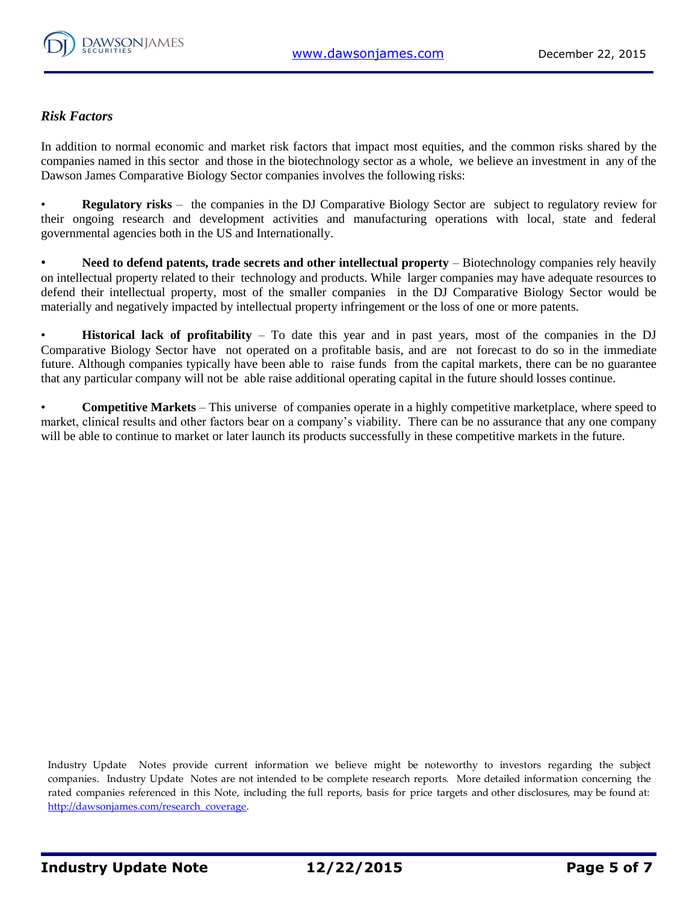

## *Risk Factors*

In addition to normal economic and market risk factors that impact most equities, and the common risks shared by the companies named in this sector and those in the biotechnology sector as a whole, we believe an investment in any of the Dawson James Comparative Biology Sector companies involves the following risks:

• **Regulatory risks** – the companies in the DJ Comparative Biology Sector are subject to regulatory review for their ongoing research and development activities and manufacturing operations with local, state and federal governmental agencies both in the US and Internationally.

**Need to defend patents, trade secrets and other intellectual property – Biotechnology companies rely heavily** on intellectual property related to their technology and products. While larger companies may have adequate resources to defend their intellectual property, most of the smaller companies in the DJ Comparative Biology Sector would be materially and negatively impacted by intellectual property infringement or the loss of one or more patents.

• **Historical lack of profitability** – To date this year and in past years, most of the companies in the DJ Comparative Biology Sector have not operated on a profitable basis, and are not forecast to do so in the immediate future. Although companies typically have been able to raise funds from the capital markets, there can be no guarantee that any particular company will not be able raise additional operating capital in the future should losses continue.

• **Competitive Markets** – This universe of companies operate in a highly competitive marketplace, where speed to market, clinical results and other factors bear on a company's viability. There can be no assurance that any one company will be able to continue to market or later launch its products successfully in these competitive markets in the future.

Industry Update Notes provide current information we believe might be noteworthy to investors regarding the subject companies. Industry Update Notes are not intended to be complete research reports. More detailed information concerning the rated companies referenced in this Note, including the full reports, basis for price targets and other disclosures, may be found at: [http://dawsonjames.com/research\\_coverage.](http://dawsonjames.com/research_coverage)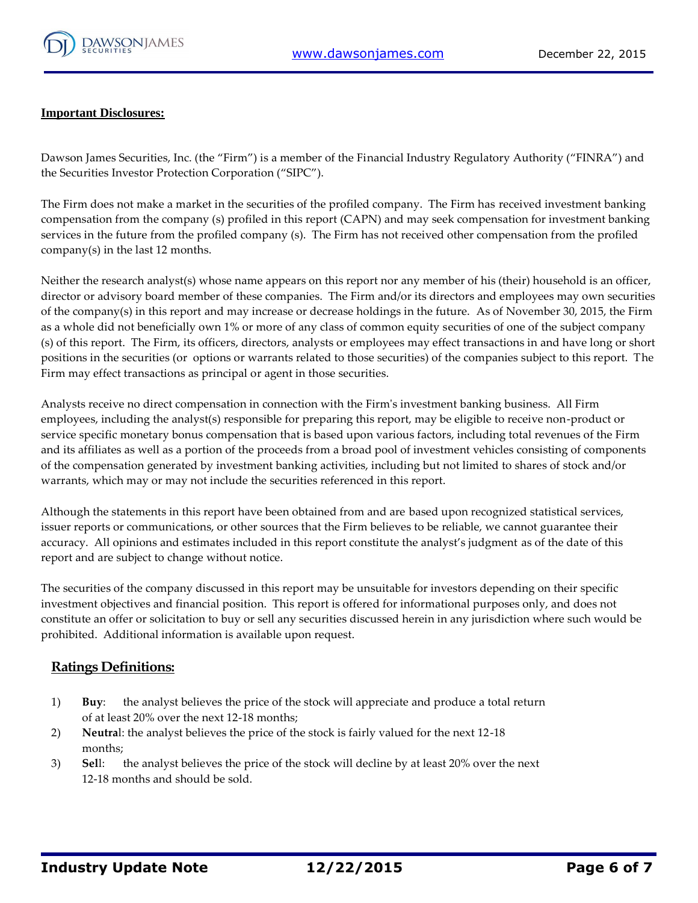

#### **Important Disclosures:**

Dawson James Securities, Inc. (the "Firm") is a member of the Financial Industry Regulatory Authority ("FINRA") and the Securities Investor Protection Corporation ("SIPC").

The Firm does not make a market in the securities of the profiled company. The Firm has received investment banking compensation from the company (s) profiled in this report (CAPN) and may seek compensation for investment banking services in the future from the profiled company (s). The Firm has not received other compensation from the profiled company(s) in the last 12 months.

Neither the research analyst(s) whose name appears on this report nor any member of his (their) household is an officer, director or advisory board member of these companies. The Firm and/or its directors and employees may own securities of the company(s) in this report and may increase or decrease holdings in the future. As of November 30, 2015, the Firm as a whole did not beneficially own 1% or more of any class of common equity securities of one of the subject company (s) of this report. The Firm, its officers, directors, analysts or employees may effect transactions in and have long or short positions in the securities (or options or warrants related to those securities) of the companies subject to this report. The Firm may effect transactions as principal or agent in those securities.

Analysts receive no direct compensation in connection with the Firm's investment banking business. All Firm employees, including the analyst(s) responsible for preparing this report, may be eligible to receive non-product or service specific monetary bonus compensation that is based upon various factors, including total revenues of the Firm and its affiliates as well as a portion of the proceeds from a broad pool of investment vehicles consisting of components of the compensation generated by investment banking activities, including but not limited to shares of stock and/or warrants, which may or may not include the securities referenced in this report.

Although the statements in this report have been obtained from and are based upon recognized statistical services, issuer reports or communications, or other sources that the Firm believes to be reliable, we cannot guarantee their accuracy. All opinions and estimates included in this report constitute the analyst's judgment as of the date of this report and are subject to change without notice.

The securities of the company discussed in this report may be unsuitable for investors depending on their specific investment objectives and financial position. This report is offered for informational purposes only, and does not constitute an offer or solicitation to buy or sell any securities discussed herein in any jurisdiction where such would be prohibited. Additional information is available upon request.

## **Ratings Definitions:**

- 1) **Buy**: the analyst believes the price of the stock will appreciate and produce a total return of at least 20% over the next 12-18 months;
- 2) **Neutra**l: the analyst believes the price of the stock is fairly valued for the next 12-18 months;
- 3) **Sel**l: the analyst believes the price of the stock will decline by at least 20% over the next 12-18 months and should be sold.